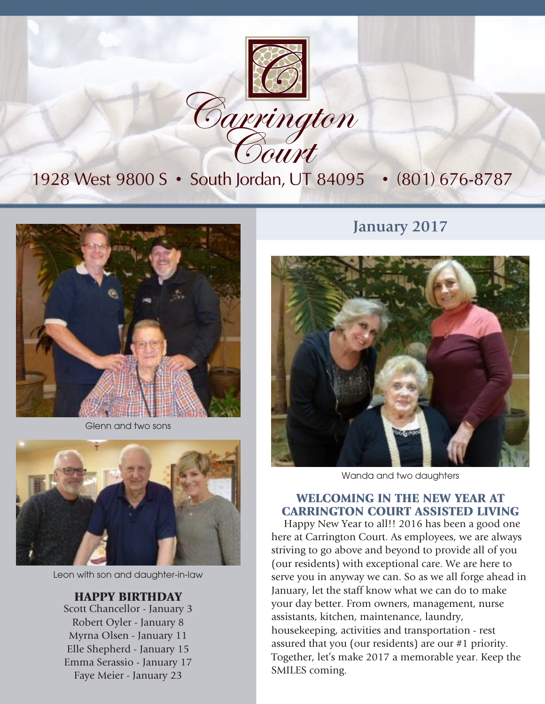

## 1928 West 9800 S • South Jordan, UT 84095 • (801) 676-8787



Glenn and two sons



Leon with son and daughter-in-law

#### HAPPY BIRTHDAY

Scott Chancellor - January 3 Robert Oyler - January 8 Myrna Olsen - January 11 Elle Shepherd - January 15 Emma Serassio - January 17 Faye Meier - January 23

### **January 2017**



Wanda and two daughters

#### WELCOMING IN THE NEW YEAR AT CARRINGTON COURT ASSISTED LIVING

Happy New Year to all!! 2016 has been a good one here at Carrington Court. As employees, we are always striving to go above and beyond to provide all of you (our residents) with exceptional care. We are here to serve you in anyway we can. So as we all forge ahead in January, let the staff know what we can do to make your day better. From owners, management, nurse assistants, kitchen, maintenance, laundry, housekeeping, activities and transportation - rest assured that you (our residents) are our #1 priority. Together, let's make 2017 a memorable year. Keep the SMILES coming.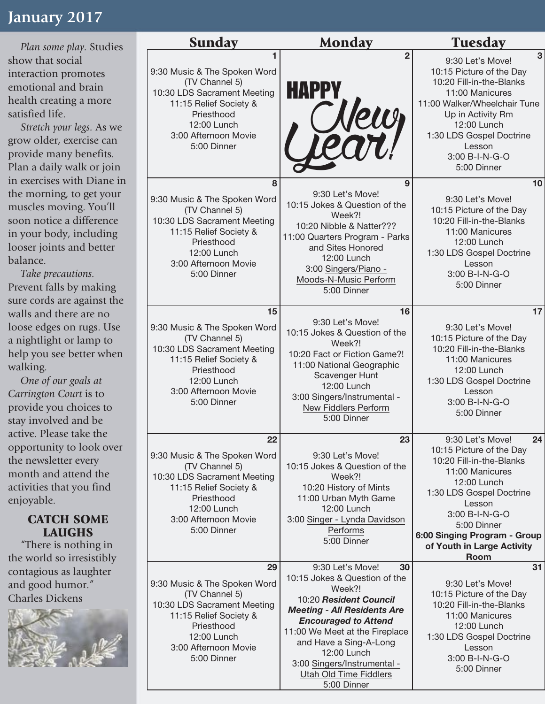## **January 2017**

*Plan some play.* Studies show that social interaction promotes emotional and brain health creating a more satisfied life.

*Stretch your legs.* As we grow older, exercise can provide many benefits. Plan a daily walk or join in exercises with Diane in the morning, to get your muscles moving. You'll soon notice a difference in your body, including looser joints and better balance.

*Take precautions.* Prevent falls by making sure cords are against the walls and there are no loose edges on rugs. Use a nightlight or lamp to help you see better when walking.

*One of our goals at Carrington Court* is to provide you choices to stay involved and be active. Please take the opportunity to look over the newsletter every month and attend the activities that you find enjoyable.

#### CATCH SOME LAUGHS

"There is nothing in the world so irresistibly contagious as laughter and good humor." Charles Dickens



|  | <b>Sunday</b>                                                                                                                                                                     | <b>Monday</b>                                                                                                                                                                                                                                                                                                       | <b>Tuesday</b>                                                                                                                                                                                                                                                       |
|--|-----------------------------------------------------------------------------------------------------------------------------------------------------------------------------------|---------------------------------------------------------------------------------------------------------------------------------------------------------------------------------------------------------------------------------------------------------------------------------------------------------------------|----------------------------------------------------------------------------------------------------------------------------------------------------------------------------------------------------------------------------------------------------------------------|
|  | 9:30 Music & The Spoken Word<br>(TV Channel 5)<br>10:30 LDS Sacrament Meeting<br>11:15 Relief Society &<br>Priesthood<br>12:00 Lunch<br>3:00 Afternoon Movie<br>5:00 Dinner       | $\overline{2}$<br><b>HAPPY</b><br>Newy                                                                                                                                                                                                                                                                              | 3<br>9:30 Let's Move!<br>10:15 Picture of the Day<br>10:20 Fill-in-the-Blanks<br>11:00 Manicures<br>11:00 Walker/Wheelchair Tune<br>Up in Activity Rm<br>12:00 Lunch<br>1:30 LDS Gospel Doctrine<br>Lesson<br>3:00 B-I-N-G-O<br>5:00 Dinner                          |
|  | 8<br>9:30 Music & The Spoken Word<br>(TV Channel 5)<br>10:30 LDS Sacrament Meeting<br>11:15 Relief Society &<br>Priesthood<br>12:00 Lunch<br>3:00 Afternoon Movie<br>5:00 Dinner  | 9<br>9:30 Let's Move!<br>10:15 Jokes & Question of the<br>Week?!<br>10:20 Nibble & Natter???<br>11:00 Quarters Program - Parks<br>and Sites Honored<br>12:00 Lunch<br>3:00 Singers/Piano -<br>Moods-N-Music Perform<br>5:00 Dinner                                                                                  | 10<br>9:30 Let's Move!<br>10:15 Picture of the Day<br>10:20 Fill-in-the-Blanks<br>11:00 Manicures<br>12:00 Lunch<br>1:30 LDS Gospel Doctrine<br>Lesson<br>3:00 B-I-N-G-O<br>5:00 Dinner                                                                              |
|  | 15<br>9:30 Music & The Spoken Word<br>(TV Channel 5)<br>10:30 LDS Sacrament Meeting<br>11:15 Relief Society &<br>Priesthood<br>12:00 Lunch<br>3:00 Afternoon Movie<br>5:00 Dinner | 16<br>9:30 Let's Move!<br>10:15 Jokes & Question of the<br>Week?!<br>10:20 Fact or Fiction Game?!<br>11:00 National Geographic<br>Scavenger Hunt<br>12:00 Lunch<br>3:00 Singers/Instrumental -<br>New Fiddlers Perform<br>5:00 Dinner                                                                               | 17<br>9:30 Let's Move!<br>10:15 Picture of the Day<br>10:20 Fill-in-the-Blanks<br>11:00 Manicures<br>12:00 Lunch<br>1:30 LDS Gospel Doctrine<br>Lesson<br>3:00 B-I-N-G-O<br>5:00 Dinner                                                                              |
|  | 22<br>9:30 Music & The Spoken Word<br>(TV Channel 5)<br>10:30 LDS Sacrament Meeting<br>11:15 Relief Society &<br>Priesthood<br>12:00 Lunch<br>3:00 Afternoon Movie<br>5:00 Dinner | 23<br>9:30 Let's Move!<br>10:15 Jokes & Question of the<br>Week?!<br>10:20 History of Mints<br>11:00 Urban Myth Game<br>12:00 Lunch<br>3:00 Singer - Lynda Davidson<br>Performs<br>5:00 Dinner                                                                                                                      | 9:30 Let's Move!<br>24<br>10:15 Picture of the Day<br>10:20 Fill-in-the-Blanks<br>11:00 Manicures<br>12:00 Lunch<br>1:30 LDS Gospel Doctrine<br>Lesson<br>3:00 B-I-N-G-O<br>5:00 Dinner<br>6:00 Singing Program - Group<br>of Youth in Large Activity<br><b>Room</b> |
|  | 29<br>9:30 Music & The Spoken Word<br>(TV Channel 5)<br>10:30 LDS Sacrament Meeting<br>11:15 Relief Society &<br>Priesthood<br>12:00 Lunch<br>3:00 Afternoon Movie<br>5:00 Dinner | 9:30 Let's Move!<br>30<br>10:15 Jokes & Question of the<br>Week?!<br>10:20 Resident Council<br><b>Meeting - All Residents Are</b><br><b>Encouraged to Attend</b><br>11:00 We Meet at the Fireplace<br>and Have a Sing-A-Long<br>12:00 Lunch<br>3:00 Singers/Instrumental -<br>Utah Old Time Fiddlers<br>5:00 Dinner | 31<br>9:30 Let's Move!<br>10:15 Picture of the Day<br>10:20 Fill-in-the-Blanks<br>11:00 Manicures<br>12:00 Lunch<br>1:30 LDS Gospel Doctrine<br>Lesson<br>3:00 B-I-N-G-O<br>5:00 Dinner                                                                              |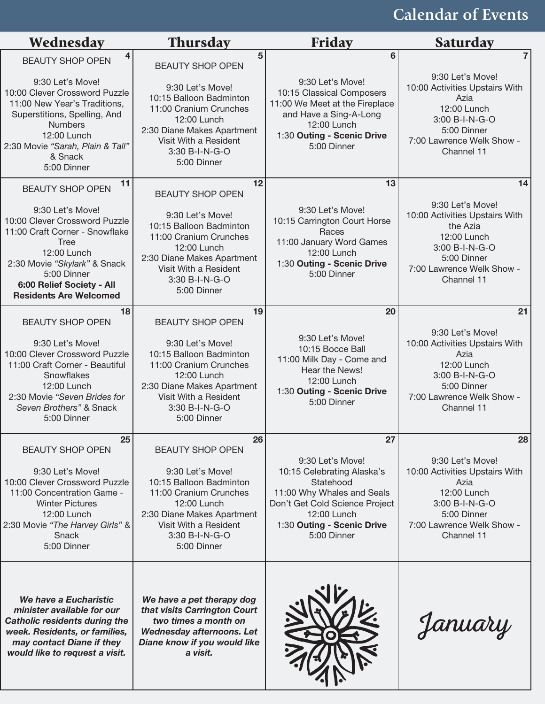# **Calendar of Events**

| Wednesday                                                                                                                                                                                                                      | <b>Thursday</b>                                                                                                                                                              | <b>Friday</b>                                                                                                                                                                           | <b>Saturday</b>                                                                                                                                           |
|--------------------------------------------------------------------------------------------------------------------------------------------------------------------------------------------------------------------------------|------------------------------------------------------------------------------------------------------------------------------------------------------------------------------|-----------------------------------------------------------------------------------------------------------------------------------------------------------------------------------------|-----------------------------------------------------------------------------------------------------------------------------------------------------------|
| <b>BEAUTY SHOP OPEN</b><br>9:30 Let's Move!                                                                                                                                                                                    | 5<br><b>BEAUTY SHOP OPEN</b><br>9:30 Let's Move!                                                                                                                             | 6<br>9:30 Let's Move!                                                                                                                                                                   | 9:30 Let's Move!<br>10:00 Activities Upstairs With                                                                                                        |
| 10:00 Clever Crossword Puzzle<br>11:00 New Year's Traditions,<br>Superstitions, Spelling, And<br><b>Numbers</b><br>12:00 Lunch<br>2:30 Movie "Sarah, Plain & Tall"<br>& Snack<br>5:00 Dinner                                   | 10:15 Balloon Badminton<br>11:00 Cranium Crunches<br>12:00 Lunch<br>2:30 Diane Makes Apartment<br>Visit With a Resident<br>3:30 B-I-N-G-O<br>5:00 Dinner                     | 10:15 Classical Composers<br>11:00 We Meet at the Fireplace<br>and Have a Sing-A-Long<br>12:00 Lunch<br>1:30 Outing - Scenic Drive<br>5:00 Dinner                                       | Azia<br>12:00 Lunch<br>3:00 B-I-N-G-O<br>5:00 Dinner<br>7:00 Lawrence Welk Show -<br>Channel 11                                                           |
| 11<br><b>BEAUTY SHOP OPEN</b>                                                                                                                                                                                                  | 12<br><b>BEAUTY SHOP OPEN</b>                                                                                                                                                | 13                                                                                                                                                                                      | 14                                                                                                                                                        |
| 9:30 Let's Move!<br>10:00 Clever Crossword Puzzle<br>11:00 Craft Corner - Snowflake<br><b>Tree</b><br>12:00 Lunch<br>2:30 Movie "Skylark" & Snack<br>5:00 Dinner<br>6:00 Relief Society - All<br><b>Residents Are Welcomed</b> | 9:30 Let's Move!<br>10:15 Balloon Badminton<br>11:00 Cranium Crunches<br>12:00 Lunch<br>2:30 Diane Makes Apartment<br>Visit With a Resident<br>3:30 B-I-N-G-O<br>5:00 Dinner | 9:30 Let's Move!<br>10:15 Carrington Court Horse<br>Races<br>11:00 January Word Games<br>12:00 Lunch<br>1:30 Outing - Scenic Drive<br>5:00 Dinner                                       | 9:30 Let's Move!<br>10:00 Activities Upstairs With<br>the Azia<br>12:00 Lunch<br>3:00 B-I-N-G-O<br>5:00 Dinner<br>7:00 Lawrence Welk Show -<br>Channel 11 |
| 18<br><b>BEAUTY SHOP OPEN</b>                                                                                                                                                                                                  | 19<br><b>BEAUTY SHOP OPEN</b>                                                                                                                                                | 20                                                                                                                                                                                      | 21                                                                                                                                                        |
| 9:30 Let's Move!<br>10:00 Clever Crossword Puzzle<br>11:00 Craft Corner - Beautiful<br>Snowflakes<br>12:00 Lunch<br>2:30 Movie "Seven Brides for<br>Seven Brothers" & Snack<br>5:00 Dinner                                     | 9:30 Let's Move!<br>10:15 Balloon Badminton<br>11:00 Cranium Crunches<br>12:00 Lunch<br>2:30 Diane Makes Apartment<br>Visit With a Resident<br>3:30 B-I-N-G-O<br>5:00 Dinner | 9:30 Let's Move!<br>10:15 Bocce Ball<br>11:00 Milk Day - Come and<br>Hear the News!<br>12:00 Lunch<br>1:30 Outing - Scenic Drive<br>5:00 Dinner                                         | 9:30 Let's Move!<br>10:00 Activities Upstairs With<br>Azia<br>12:00 Lunch<br>3:00 B-I-N-G-O<br>5:00 Dinner<br>7:00 Lawrence Welk Show -<br>Channel 11     |
| 25<br><b>BEAUTY SHOP OPEN</b>                                                                                                                                                                                                  | 26<br><b>BEAUTY SHOP OPEN</b>                                                                                                                                                | 27                                                                                                                                                                                      | 28                                                                                                                                                        |
| 9:30 Let's Move!<br>10:00 Clever Crossword Puzzle<br>11:00 Concentration Game -<br><b>Winter Pictures</b><br>12:00 Lunch<br>2:30 Movie "The Harvey Girls" &<br>Snack<br>5:00 Dinner                                            | 9:30 Let's Move!<br>10:15 Balloon Badminton<br>11:00 Cranium Crunches<br>12:00 Lunch<br>2:30 Diane Makes Apartment<br>Visit With a Resident<br>3:30 B-I-N-G-O<br>5:00 Dinner | 9:30 Let's Move!<br>10:15 Celebrating Alaska's<br>Statehood<br>11:00 Why Whales and Seals<br>Don't Get Cold Science Project<br>12:00 Lunch<br>1:30 Outing - Scenic Drive<br>5:00 Dinner | 9:30 Let's Move!<br>10:00 Activities Upstairs With<br>Azia<br>12:00 Lunch<br>3:00 B-I-N-G-O<br>5:00 Dinner<br>7:00 Lawrence Welk Show -<br>Channel 11     |
| We have a Eucharistic<br>minister available for our<br><b>Catholic residents during the</b><br>week. Residents, or families,<br>may contact Diane if they<br>would like to request a visit.                                    | We have a pet therapy dog<br>that visits Carrington Court<br>two times a month on<br><b>Wednesday afternoons. Let</b><br>Diane know if you would like<br>a visit.            |                                                                                                                                                                                         | January                                                                                                                                                   |